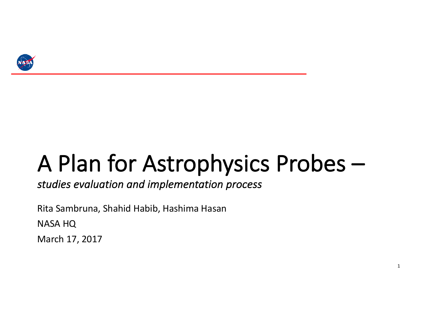

# A Plan for Astrophysics Probes -

studies evaluation and implementation process

Rita Sambruna, Shahid Habib, Hashima Hasan **NASA HQ** 

March 17, 2017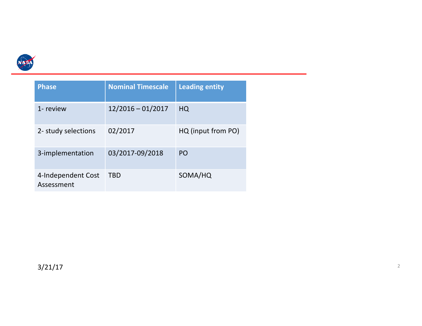

| <b>Phase</b>                     | <b>Nominal Timescale</b> | Leading entity     |
|----------------------------------|--------------------------|--------------------|
| 1- review                        | $12/2016 - 01/2017$      | HQ                 |
| 2- study selections              | 02/2017                  | HQ (input from PO) |
| 3-implementation                 | 03/2017-09/2018          | PO                 |
| 4-Independent Cost<br>Assessment | <b>TBD</b>               | SOMA/HQ            |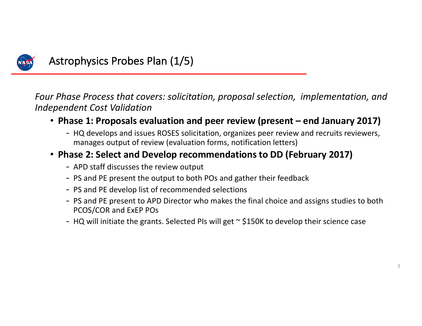

## Astrophysics Probes Plan (1/5)

*Four* Phase Process that covers: solicitation, proposal selection, implementation, and *Independent Cost Validation*

- Phase 1: Proposals evaluation and peer review (present end January 2017)
	- HQ develops and issues ROSES solicitation, organizes peer review and recruits reviewers, manages output of review (evaluation forms, notification letters)

## • **Phase 2: Select and Develop recommendations to DD (February 2017)**

- APD staff discusses the review output
- PS and PE present the output to both POs and gather their feedback
- PS and PE develop list of recommended selections
- PS and PE present to APD Director who makes the final choice and assigns studies to both PCOS/COR and ExEP POs
- HQ will initiate the grants. Selected PIs will get  $\sim$  \$150K to develop their science case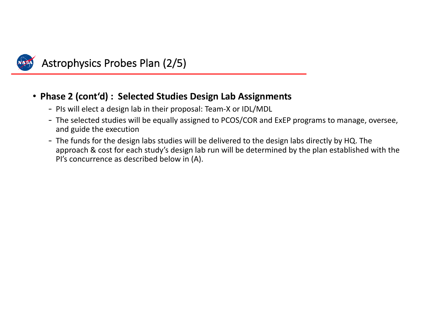

# Astrophysics Probes Plan (2/5)

## • Phase 2 (cont'd) : Selected Studies Design Lab Assignments

- PIs will elect a design lab in their proposal: Team-X or IDL/MDL
- The selected studies will be equally assigned to PCOS/COR and ExEP programs to manage, oversee, and guide the execution
- The funds for the design labs studies will be delivered to the design labs directly by HQ. The approach & cost for each study's design lab run will be determined by the plan established with the PI's concurrence as described below in (A).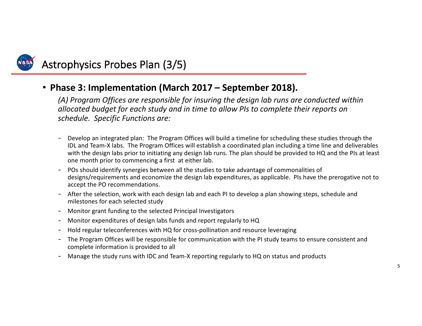

## Astrophysics Probes Plan (3/5)

#### • Phase 3: Implementation (March 2017 – September 2018).

(A) Program Offices are responsible for insuring the design lab runs are conducted within allocated budget for each study and in time to allow PIs to complete their reports on *schedule. Specific Functions are:*

- Develop an integrated plan: The Program Offices will build a timeline for scheduling these studies through the IDL and Team-X labs. The Program Offices will establish a coordinated plan including a time line and deliverables with the design labs prior to initiating any design lab runs. The plan should be provided to HQ and the PIs at least one month prior to commencing a first at either lab.
- POs should identify synergies between all the studies to take advantage of commonalities of designs/requirements and economize the design lab expenditures, as applicable. PIs have the prerogative not to accept the PO recommendations.
- After the selection, work with each design lab and each PI to develop a plan showing steps, schedule and milestones for each selected study
- Monitor grant funding to the selected Principal Investigators
- Monitor expenditures of design labs funds and report regularly to HQ
- Hold regular teleconferences with HQ for cross-pollination and resource leveraging
- The Program Offices will be responsible for communication with the PI study teams to ensure consistent and complete information is provided to all
- Manage the study runs with IDC and Team-X reporting regularly to HQ on status and products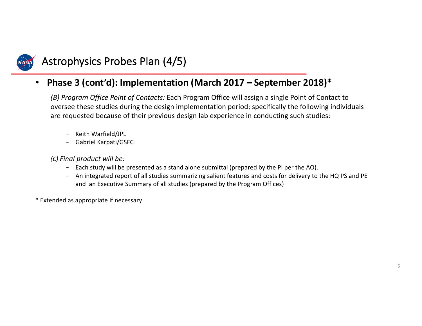

## Astrophysics Probes Plan (4/5)

### • Phase 3 (cont'd): Implementation (March 2017 - September 2018)\*

*(B)* Program Office Point of Contacts: Each Program Office will assign a single Point of Contact to oversee these studies during the design implementation period; specifically the following individuals are requested because of their previous design lab experience in conducting such studies:

- Keith Warfield/JPL
- Gabriel Karpati/GSFC

*(C) Final product will be:*

- Each study will be presented as a stand alone submittal (prepared by the PI per the AO).
- An integrated report of all studies summarizing salient features and costs for delivery to the HQ PS and PE and an Executive Summary of all studies (prepared by the Program Offices)

\* Extended as appropriate if necessary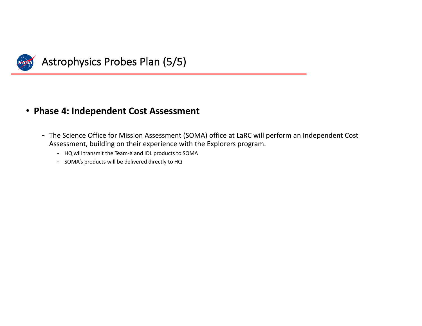

## Astrophysics Probes Plan (5/5)

#### • **Phase 4: Independent Cost Assessment**

- The Science Office for Mission Assessment (SOMA) office at LaRC will perform an Independent Cost Assessment, building on their experience with the Explorers program.
	- HQ will transmit the Team-X and IDL products to SOMA
	- SOMA's products will be delivered directly to HQ